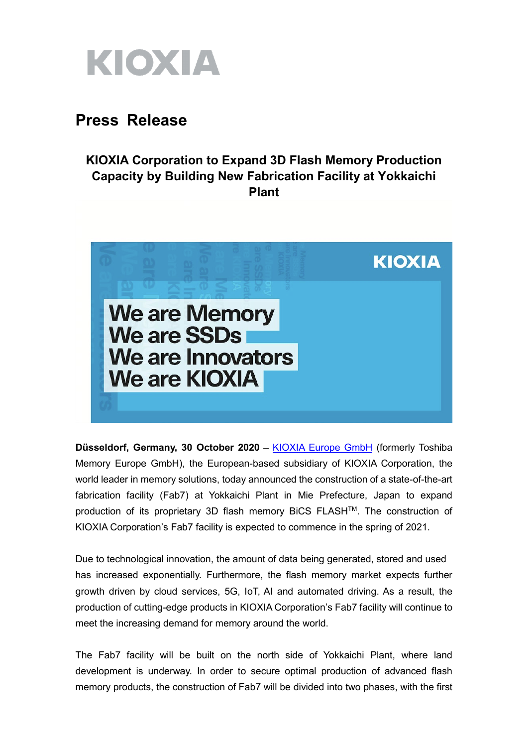

## **Press Release**

## **KIOXIA Corporation to Expand 3D Flash Memory Production Capacity by Building New Fabrication Facility at Yokkaichi Plant**



**Düsseldorf, Germany, 30 October 2020** – [KIOXIA Europe GmbH](https://www.kioxia.com/en-emea/top.html) (formerly Toshiba Memory Europe GmbH), the European-based subsidiary of KIOXIA Corporation, the world leader in memory solutions, today announced the construction of a state-of-the-art fabrication facility (Fab7) at Yokkaichi Plant in Mie Prefecture, Japan to expand production of its proprietary 3D flash memory BiCS FLASH<sup>™</sup>. The construction of KIOXIA Corporation's Fab7 facility is expected to commence in the spring of 2021.

Due to technological innovation, the amount of data being generated, stored and used has increased exponentially. Furthermore, the flash memory market expects further growth driven by cloud services, 5G, IoT, AI and automated driving. As a result, the production of cutting-edge products in KIOXIA Corporation's Fab7 facility will continue to meet the increasing demand for memory around the world.

The Fab7 facility will be built on the north side of Yokkaichi Plant, where land development is underway. In order to secure optimal production of advanced flash memory products, the construction of Fab7 will be divided into two phases, with the first